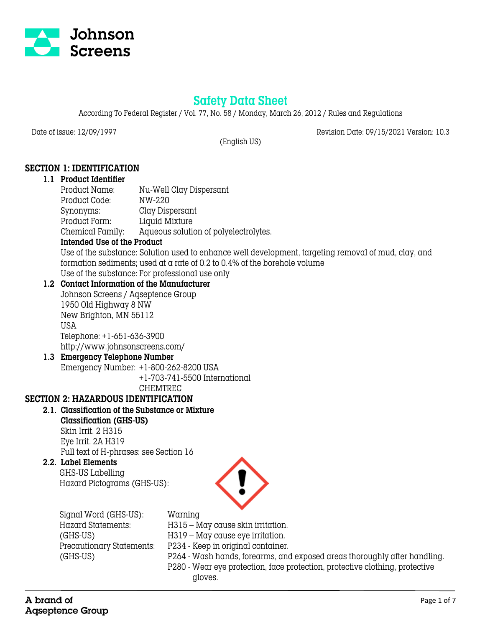

# **Safety Data Sheet**

According To Federal Register / Vol. 77, No. 58 / Monday, March 26, 2012 / Rules and Regulations

Date of issue: 12/09/1997 Revision Date: 09/15/2021 Version: 10.3

(English US)

# **SECTION 1: IDENTIFICATION**

#### **1.1 Product Identifier**

Product Name: Nu-Well Clay Dispersant Product Code: NW-220 Synonyms: Clay Dispersant Product Form: Liquid Mixture Chemical Family: Aqueous solution of polyelectrolytes.

#### **Intended Use of the Product**

Use of the substance: Solution used to enhance well development, targeting removal of mud, clay, and formation sediments; used at a rate of 0.2 to 0.4% of the borehole volume Use of the substance: For professional use only

#### **1.2 Contact Information of the Manufacturer**

Johnson Screens / Aqseptence Group 1950 Old Highway 8 NW New Brighton, MN 55112 USA Telephone: +1-651-636-3900 http://www.johnsonscreens.com/

## **1.3 Emergency Telephone Number**

Emergency Number: +1-800-262-8200 USA +1-703-741-5500 International

CHEMTREC

## **SECTION 2: HAZARDOUS IDENTIFICATION**

### **2.1. Classification of the Substance or Mixture Classification (GHS-US)**

Skin Irrit. 2 H315 Eye Irrit. 2A H319 Full text of H-phrases: see Section 16

#### **2.2. Label Elements**

 GHS-US Labelling Hazard Pictograms (GHS-US):



gloves.

 Signal Word (GHS-US): Warning Hazard Statements: (GHS-US) Precautionary Statements:

| Hazard Statements:        | H315 – May cause skin irritation.                                            |
|---------------------------|------------------------------------------------------------------------------|
| (GHS-US)                  | $H319 - May$ cause eye irritation.                                           |
| Precautionary Statements: | P234 - Keep in original container.                                           |
| (GHS-US)                  | P264 - Wash hands, forearms, and exposed areas thoroughly after handling.    |
|                           | P280 - Wear eye protection, face protection, protective clothing, protective |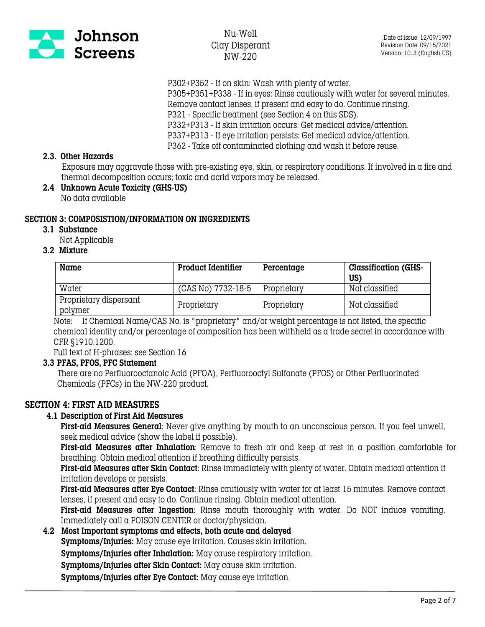

P302+P352 - If on skin: Wash with plenty of water. P305+P351+P338 - If in eyes: Rinse cautiously with water for several minutes. Remove contact lenses, if present and easy to do. Continue rinsing. P321 - Specific treatment (see Section 4 on this SDS). P332+P313 - If skin irritation occurs: Get medical advice/attention. P337+P313 - If eye irritation persists: Get medical advice/attention. P362 - Take off contaminated clothing and wash it before reuse.

### **2.3. Other Hazards**

Exposure may aggravate those with pre-existing eye, skin, or respiratory conditions. If involved in a fire and thermal decomposition occurs; toxic and acrid vapors may be released.

**2.4 Unknown Acute Toxicity (GHS-US)** No data available

### **SECTION 3: COMPOSISTION/INFORMATION ON INGREDIENTS**

**3.1 Substance**

Not Applicable

**3.2 Mixture**

| Name                              | <b>Product Identifier</b> | Percentage  | <b>Classification (GHS-</b><br>US) |
|-----------------------------------|---------------------------|-------------|------------------------------------|
| Water                             | (CAS No) 7732-18-5        | Proprietary | Not classified                     |
| Proprietary dispersant<br>polymer | Proprietary               | Proprietary | Not classified                     |

Note: If Chemical Name/CAS No. is "proprietary" and/or weight percentage is not listed, the specific chemical identity and/or percentage of composition has been withheld as a trade secret in accordance with CFR §1910.1200.

Full text of H-phrases: see Section 16

#### **3.3 PFAS, PFOS, PFC Statement**

There are no Perfluorooctanoic Acid (PFOA), Perfluorooctyl Sulfonate (PFOS) or Other Perfluorinated Chemicals (PFCs) in the NW-220 product.

## **SECTION 4: FIRST AID MEASURES**

#### **4.1 Description of First Aid Measures**

**First-aid Measures General**: Never give anything by mouth to an unconscious person. If you feel unwell, seek medical advice (show the label if possible).

**First-aid Measures after Inhalation**: Remove to fresh air and keep at rest in a position comfortable for breathing. Obtain medical attention if breathing difficulty persists.

**First-aid Measures after Skin Contact**: Rinse immediately with plenty of water. Obtain medical attention if irritation develops or persists.

**First-aid Measures after Eye Contact**: Rinse cautiously with water for at least 15 minutes. Remove contact lenses, if present and easy to do. Continue rinsing. Obtain medical attention.

**First-aid Measures after Ingestion**: Rinse mouth thoroughly with water. Do NOT induce vomiting. Immediately call a POISON CENTER or doctor/physician.

**4.2 Most Important symptoms and effects, both acute and delayed**

 **Symptoms/Injuries:** May cause eye irritation. Causes skin irritation.

 **Symptoms/Injuries after Inhalation:** May cause respiratory irritation.

 **Symptoms/Injuries after Skin Contact:** May cause skin irritation.

 **Symptoms/Injuries after Eye Contact:** May cause eye irritation.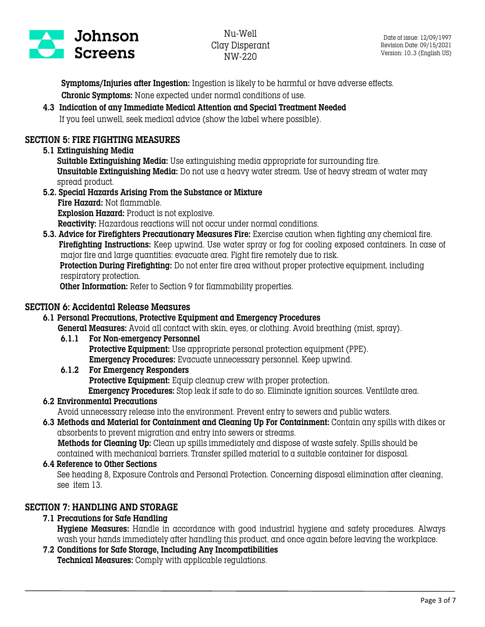

 **Symptoms/Injuries after Ingestion:** Ingestion is likely to be harmful or have adverse effects.

 **Chronic Symptoms:** None expected under normal conditions of use.

# **4.3 Indication of any Immediate Medical Attention and Special Treatment Needed**

If you feel unwell, seek medical advice (show the label where possible).

# **SECTION 5: FIRE FIGHTING MEASURES**

**5.1 Extinguishing Media**

**Suitable Extinguishing Media:** Use extinguishing media appropriate for surrounding fire. **Unsuitable Extinguishing Media:** Do not use a heavy water stream. Use of heavy stream of water may spread product.

- **5.2. Special Hazards Arising From the Substance or Mixture Fire Hazard:** Not flammable.  **Explosion Hazard:** Product is not explosive.  **Reactivity:** Hazardous reactions will not occur under normal conditions.
- **5.3. Advice for Firefighters Precautionary Measures Fire:** Exercise caution when fighting any chemical fire. **Firefighting Instructions:** Keep upwind. Use water spray or fog for cooling exposed containers. In case of major fire and large quantities: evacuate area. Fight fire remotely due to risk.

 **Protection During Firefighting:** Do not enter fire area without proper protective equipment, including respiratory protection.

**Other Information:** Refer to Section 9 for flammability properties.

# **SECTION 6: Accidental Release Measures**

# **6.1 Personal Precautions, Protective Equipment and Emergency Procedures**

 **General Measures:** Avoid all contact with skin, eyes, or clothing. Avoid breathing (mist, spray).

**6.1.1 For Non-emergency Personnel**

**Protective Equipment:** Use appropriate personal protection equipment (PPE). **Emergency Procedures:** Evacuate unnecessary personnel. Keep upwind.

**6.1.2 For Emergency Responders Protective Equipment:** Equip cleanup crew with proper protection.  **Emergency Procedures:** Stop leak if safe to do so. Eliminate ignition sources. Ventilate area.

# **6.2 Environmental Precautions**

Avoid unnecessary release into the environment. Prevent entry to sewers and public waters.

**6.3 Methods and Material for Containment and Cleaning Up For Containment:** Contain any spills with dikes or absorbents to prevent migration and entry into sewers or streams.  **Methods for Cleaning Up:** Clean up spills immediately and dispose of waste safely. Spills should be contained with mechanical barriers. Transfer spilled material to a suitable container for disposal.

# **6.4 Reference to Other Sections**

See heading 8, Exposure Controls and Personal Protection. Concerning disposal elimination after cleaning, see item 13.

# **SECTION 7: HANDLING AND STORAGE**

**7.1 Precautions for Safe Handling**

**Hygiene Measures:** Handle in accordance with good industrial hygiene and safety procedures. Always wash your hands immediately after handling this product, and once again before leaving the workplace.

# **7.2 Conditions for Safe Storage, Including Any Incompatibilities**

**Technical Measures:** Comply with applicable regulations.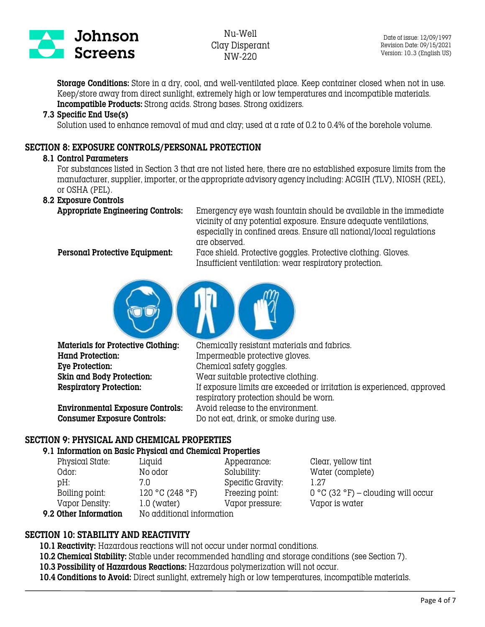

Date of issue: 12/09/1997 Revision Date: 09/15/2021 Version: 10..3 (English US)

**Storage Conditions:** Store in a dry, cool, and well-ventilated place. Keep container closed when not in use. Keep/store away from direct sunlight, extremely high or low temperatures and incompatible materials. **Incompatible Products:** Strong acids. Strong bases. Strong oxidizers.

#### **7.3 Specific End Use(s)**

Solution used to enhance removal of mud and clay; used at a rate of 0.2 to 0.4% of the borehole volume.

#### **SECTION 8: EXPOSURE CONTROLS/PERSONAL PROTECTION**

#### **8.1 Control Parameters**

For substances listed in Section 3 that are not listed here, there are no established exposure limits from the manufacturer, supplier, importer, or the appropriate advisory agency including: ACGIH (TLV), NIOSH (REL), or OSHA (PEL).

#### **8.2 Exposure Controls**

**Appropriate Engineering Controls:** Emergency eye wash fountain should be available in the immediate vicinity of any potential exposure. Ensure adequate ventilations, especially in confined areas. Ensure all national/local regulations are observed.

**Personal Protective Equipment:** Face shield. Protective goggles. Protective clothing. Gloves.

Insufficient ventilation: wear respiratory protection.



**Eye Protection:** Chemical safety goggles.

 **Materials for Protective Clothing:** Chemically resistant materials and fabrics. **Hand Protection:** Impermeable protective gloves. **Skin and Body Protection:** Wear suitable protective clothing. **Respiratory Protection:** If exposure limits are exceeded or irritation is experienced, approved respiratory protection should be worn. **Environmental Exposure Controls:** Avoid release to the environment. **Consumer Exposure Controls:** Do not eat, drink, or smoke during use.

### **SECTION 9: PHYSICAL AND CHEMICAL PROPERTIES**

#### **9.1 Information on Basic Physical and Chemical Properties**

| Physical State:       | Liquid                    | Appearance:       | Clear, yellow tint                   |
|-----------------------|---------------------------|-------------------|--------------------------------------|
| Odor:                 | No odor                   | Solubility:       | Water (complete)                     |
| pH:                   | 7 N                       | Specific Gravity: | 1.27                                 |
| Boiling point:        | 120 °C (248 °F)           | Freezing point:   | $0 °C$ (32 °F) – clouding will occur |
| Vapor Density:        | $1.0$ (water)             | Vapor pressure:   | Vapor is water                       |
| 9.2 Other Information | No additional information |                   |                                      |

#### **SECTION 10: STABILITY AND REACTIVITY**

**10.1 Reactivity:** Hazardous reactions will not occur under normal conditions.

**10.2 Chemical Stability:** Stable under recommended handling and storage conditions (see Section 7).

**10.3 Possibility of Hazardous Reactions:** Hazardous polymerization will not occur.

**10.4 Conditions to Avoid:** Direct sunlight, extremely high or low temperatures, incompatible materials.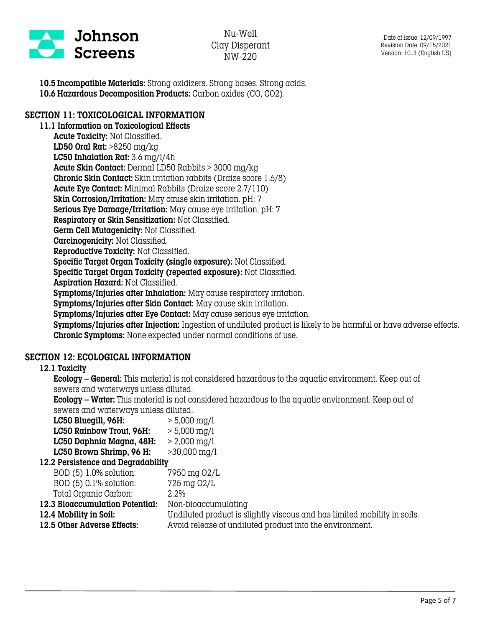

**10.5 Incompatible Materials:** Strong oxidizers. Strong bases. Strong acids. **10.6 Hazardous Decomposition Products:** Carbon oxides (CO, CO2).

# **SECTION 11: TOXICOLOGICAL INFORMATION**

**11.1 Information on Toxicological Effects Acute Toxicity:** Not Classified. **LD50 Oral Rat:** >8250 mg/kg **LC50 Inhalation Rat:** 3.6 mg/l/4h **Acute Skin Contact:** Dermal LD50 Rabbits > 3000 mg/kg **Chronic Skin Contact:** Skin irritation rabbits (Draize score 1.6/8) **Acute Eye Contact:** Minimal Rabbits (Draize score 2.7/110) **Skin Corrosion/Irritation:** May cause skin irritation. pH: 7 **Serious Eye Damage/Irritation:** May cause eye irritation. pH: 7 **Respiratory or Skin Sensitization:** Not Classified. **Germ Cell Mutagenicity:** Not Classified. **Carcinogenicity:** Not Classified. **Reproductive Toxicity:** Not Classified. **Specific Target Organ Toxicity (single exposure):** Not Classified. **Specific Target Organ Toxicity (repeated exposure):** Not Classified. **Aspiration Hazard:** Not Classified. **Symptoms/Injuries after Inhalation:** May cause respiratory irritation. **Symptoms/Injuries after Skin Contact:** May cause skin irritation. **Symptoms/Injuries after Eye Contact:** May cause serious eye irritation. **Symptoms/Injuries after Injection:** Ingestion of undiluted product is likely to be harmful or have adverse effects. **Chronic Symptoms:** None expected under normal conditions of use.

#### **SECTION 12: ECOLOGICAL INFORMATION**

#### **12.1 Toxicity**

**Ecology – General:** This material is not considered hazardous to the aquatic environment. Keep out of sewers and waterways unless diluted.

**Ecology – Water:** This material is not considered hazardous to the aquatic environment. Keep out of sewers and waterways unless diluted.

| LC50 Bluegill, 96H:      | $> 5,000 \,\mathrm{mg/l}$ |
|--------------------------|---------------------------|
| LC50 Rainbow Trout, 96H: | $> 5,000$ mg/l            |
| LC50 Daphnia Magna, 48H: | $> 2,000 \,\mathrm{mg/l}$ |
| LC50 Brown Shrimp, 96 H: | $>30,000$ mg/l            |

### **12.2 Persistence and Degradability**

| BOD (5) 1.0% solution:          | 7950 mg 02/L                                                             |
|---------------------------------|--------------------------------------------------------------------------|
| BOD (5) 0.1% solution:          | 725 mg 02/L                                                              |
| Total Organic Carbon:           | $2.2\%$                                                                  |
| 12.3 Bioaccumulation Potential: | Non-bioaccumulating                                                      |
| 12.4 Mobility in Soil:          | Undiluted product is slightly viscous and has limited mobility in soils. |
| 12.5 Other Adverse Effects:     | Avoid release of undiluted product into the environment.                 |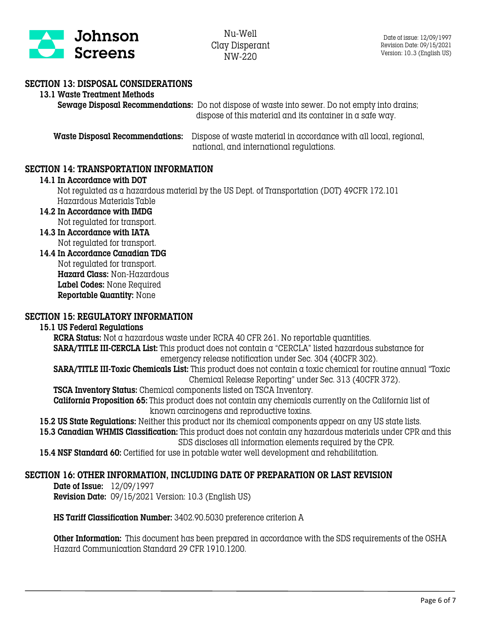

### **SECTION 13: DISPOSAL CONSIDERATIONS**

#### **13.1 Waste Treatment Methods**

 **Sewage Disposal Recommendations:** Do not dispose of waste into sewer. Do not empty into drains; dispose of this material and its container in a safe way.

**Waste Disposal Recommendations:** Dispose of waste material in accordance with all local, regional, national, and international regulations.

#### **SECTION 14: TRANSPORTATION INFORMATION**

#### **14.1 In Accordance with DOT**

Not regulated as a hazardous material by the US Dept. of Transportation (DOT) 49CFR 172.101 Hazardous Materials Table

- **14.2 In Accordance with IMDG** Not regulated for transport.
- **14.3 In Accordance with IATA** Not regulated for transport.
- **14.4 In Accordance Canadian TDG** Not regulated for transport.  **Hazard Class:** Non-Hazardous  **Label Codes:** None Required  **Reportable Quantity:** None

#### **SECTION 15: REGULATORY INFORMATION**

#### **15.1 US Federal Regulations**

**RCRA Status:** Not a hazardous waste under RCRA 40 CFR 261. No reportable quantities. **SARA/TITLE III-CERCLA List:** This product does not contain a "CERCLA" listed hazardous substance for emergency release notification under Sec. 304 (40CFR 302).

**SARA/TITLE III-Toxic Chemicals List:** This product does not contain a toxic chemical for routine annual "Toxic Chemical Release Reporting" under Sec. 313 (40CFR 372).

**TSCA Inventory Status:** Chemical components listed on TSCA Inventory. **California Proposition 65:** This product does not contain any chemicals currently on the California list of known carcinogens and reproductive toxins.

**15.2 US State Regulations:** Neither this product nor its chemical components appear on any US state lists.

**15.3 Canadian WHMIS Classification:** This product does not contain any hazardous materials under CPR and this SDS discloses all information elements required by the CPR.

**15.4 NSF Standard 60:** Certified for use in potable water well development and rehabilitation.

#### **SECTION 16: OTHER INFORMATION, INCLUDING DATE OF PREPARATION OR LAST REVISION**

**Date of Issue:** 12/09/1997 **Revision Date:** 09/15/2021 Version: 10.3 (English US)

**HS Tariff Classification Number:** 3402.90.5030 preference criterion A

**Other Information:** This document has been prepared in accordance with the SDS requirements of the OSHA Hazard Communication Standard 29 CFR 1910.1200.